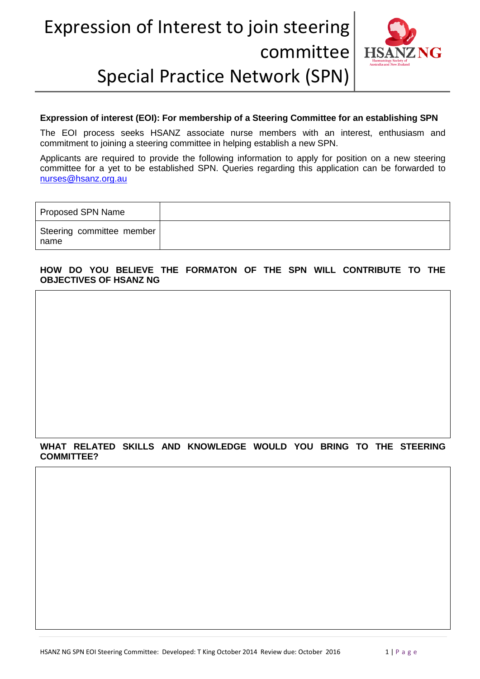## Expression of Interest to join steering committee Special Practice Network (SPN)



#### **Expression of interest (EOI): For membership of a Steering Committee for an establishing SPN**

The EOI process seeks HSANZ associate nurse members with an interest, enthusiasm and commitment to joining a steering committee in helping establish a new SPN.

Applicants are required to provide the following information to apply for position on a new steering committee for a yet to be established SPN. Queries regarding this application can be forwarded to [nurses@hsanz.org.au](mailto:nurses@hsanz.org.au)

| Proposed SPN Name                 |  |
|-----------------------------------|--|
| Steering committee member<br>name |  |

#### **HOW DO YOU BELIEVE THE FORMATON OF THE SPN WILL CONTRIBUTE TO THE OBJECTIVES OF HSANZ NG**

### **WHAT RELATED SKILLS AND KNOWLEDGE WOULD YOU BRING TO THE STEERING COMMITTEE?**